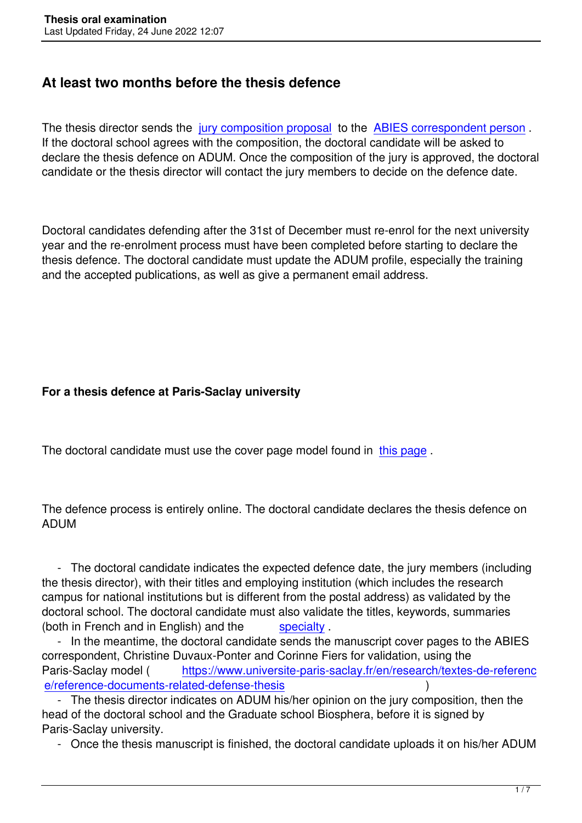# **At least two months before the thesis defence**

The thesis director sends the jury composition proposal to the ABIES correspondent person. If the doctoral school agrees with the composition, the doctoral candidate will be asked to declare the thesis defence on ADUM. Once the composition of the jury is approved, the doctoral candidate or the thesis directo[r will contact the jury mem](images/telechargement/Proposition_jury_these_ABIES_15fevr21.docx)bers to [decide on the defence date.](images/telechargement/Correspondants_ABIES_unites_1avril22.pdf)

Doctoral candidates defending after the 31st of December must re-enrol for the next university year and the re-enrolment process must have been completed before starting to declare the thesis defence. The doctoral candidate must update the ADUM profile, especially the training and the accepted publications, as well as give a permanent email address.

### **For a thesis defence at Paris-Saclay university**

The doctoral candidate must use the cover page model found in this page.

The defence process is entirely online. The doctoral candidate d[eclares the](https://www.universite-paris-saclay.fr/research/textes-de-reference/documents-de-reference-relatifs-la-soutenance-de-la-these#modelcover) thesis defence on ADUM

 - The doctoral candidate indicates the expected defence date, the jury members (including the thesis director), with their titles and employing institution (which includes the research campus for national institutions but is different from the postal address) as validated by the doctoral school. The doctoral candidate must also validate the titles, keywords, summaries (both in French and in English) and the specialty.

 - In the meantime, the doctoral candidate sends the manuscript cover pages to the ABIES correspondent, Christine Duvaux-Ponter and Corinne Fiers for validation, using the Paris-Saclay model (https://www.univer[site-paris](images/telechargement/ABIES_Extrait_Reglement_Interieur_avril22.pdf)-saclay.fr/en/research/textes-de-referenc e/reference-documents-related-defense-thesis )

 - The thesis director indicates on ADUM his/her opinion on the jury composition, then the head of the doctoral schoo[l and the Graduate school Biosphera, before it is signed by](https://www.universite-paris-saclay.fr/en/research/textes-de-reference/reference-documents-related-defense-thesis) [Paris-Saclay university.](https://www.universite-paris-saclay.fr/en/research/textes-de-reference/reference-documents-related-defense-thesis) 

- Once the thesis manuscript is finished, the doctoral candidate uploads it on his/her ADUM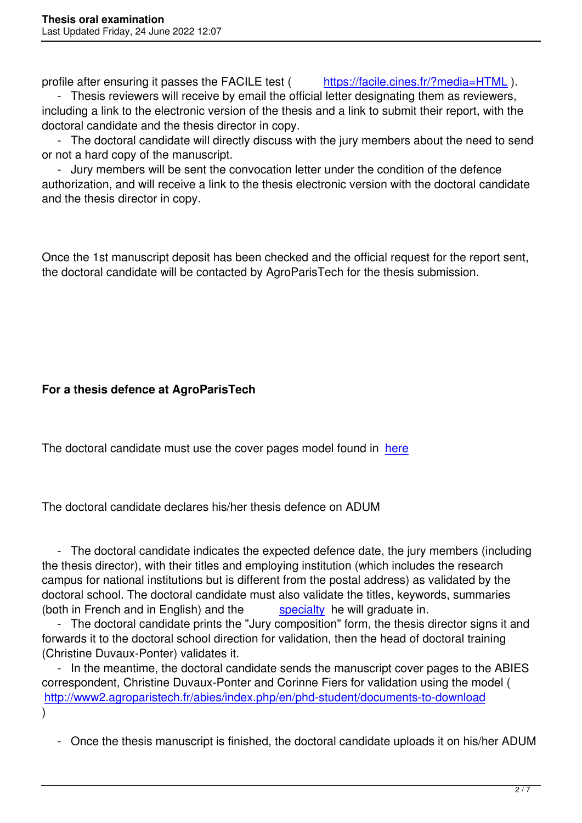profile after ensuring it passes the FACILE test (https://facile.cines.fr/?media=HTML).

 - Thesis reviewers will receive by email the official letter designating them as reviewers, including a link to the electronic version of the thesis and a link to submit their report, with the doctoral candidate and the thesis director in copy.

 - The doctoral candidate will directly discuss with t[he jury members about the need to](https://facile.cines.fr/?media=HTML) send or not a hard copy of the manuscript.

 - Jury members will be sent the convocation letter under the condition of the defence authorization, and will receive a link to the thesis electronic version with the doctoral candidate and the thesis director in copy.

Once the 1st manuscript deposit has been checked and the official request for the report sent, the doctoral candidate will be contacted by AgroParisTech for the thesis submission.

### **For a thesis defence at AgroParisTech**

The doctoral candidate must use the cover pages model found in here

The doctoral candidate declares his/her thesis defence on ADUM

 - The doctoral candidate indicates the expected defence date, the jury members (including the thesis director), with their titles and employing institution (which includes the research campus for national institutions but is different from the postal address) as validated by the doctoral school. The doctoral candidate must also validate the titles, keywords, summaries (both in French and in English) and the specialty he will graduate in.

 - The doctoral candidate prints the "Jury composition" form, the thesis director signs it and forwards it to the doctoral school direction for validation, then the head of doctoral training (Christine Duvaux-Ponter) validates it.

 - In the meantime, the doctoral candidate [sends the](images/telechargement/ABIES_Extrait_Reglement_Interieur_avril22.pdf) manuscript cover pages to the ABIES correspondent, Christine Duvaux-Ponter and Corinne Fiers for validation using the model ( http://www2.agroparistech.fr/abies/index.php/en/phd-student/documents-to-download )

 [- Once the thesis manuscript is finished, the doctoral candidate uploads it on his/h](index.php/en/phd-student/documents-to-download)er ADUM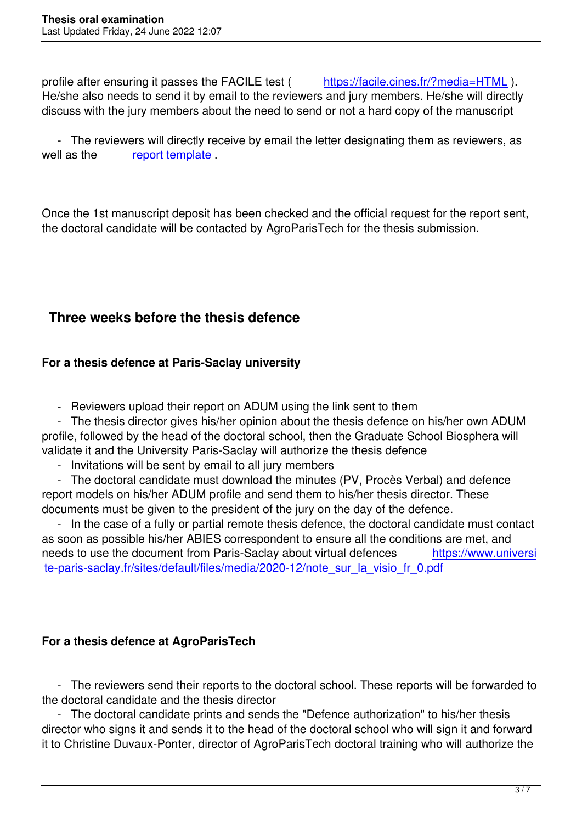profile after ensuring it passes the FACILE test (https://facile.cines.fr/?media=HTML). He/she also needs to send it by email to the reviewers and jury members. He/she will directly discuss with the jury members about the need to send or not a hard copy of the manuscript

 - The reviewers will directly receive by email the l[etter designating them as reviewers,](https://facile.cines.fr/?media=HTML) as well as the report template.

Once the 1st ma[nuscript deposit](images/telechargement/modele_RAPPORT_fr_angl_APT_juin22.doc) has been checked and the official request for the report sent, the doctoral candidate will be contacted by AgroParisTech for the thesis submission.

### **Three weeks before the thesis defence**

### **For a thesis defence at Paris-Saclay university**

- Reviewers upload their report on ADUM using the link sent to them

 - The thesis director gives his/her opinion about the thesis defence on his/her own ADUM profile, followed by the head of the doctoral school, then the Graduate School Biosphera will validate it and the University Paris-Saclay will authorize the thesis defence

- Invitations will be sent by email to all jury members

 - The doctoral candidate must download the minutes (PV, Procès Verbal) and defence report models on his/her ADUM profile and send them to his/her thesis director. These documents must be given to the president of the jury on the day of the defence.

 - In the case of a fully or partial remote thesis defence, the doctoral candidate must contact as soon as possible his/her ABIES correspondent to ensure all the conditions are met, and needs to use the document from Paris-Saclay about virtual defences https://www.universi te-paris-saclay.fr/sites/default/files/media/2020-12/note\_sur\_la\_visio\_fr\_0.pdf

### **For a thesis defence at AgroParisTech**

 - The reviewers send their reports to the doctoral school. These reports will be forwarded to the doctoral candidate and the thesis director

 - The doctoral candidate prints and sends the "Defence authorization" to his/her thesis director who signs it and sends it to the head of the doctoral school who will sign it and forward it to Christine Duvaux-Ponter, director of AgroParisTech doctoral training who will authorize the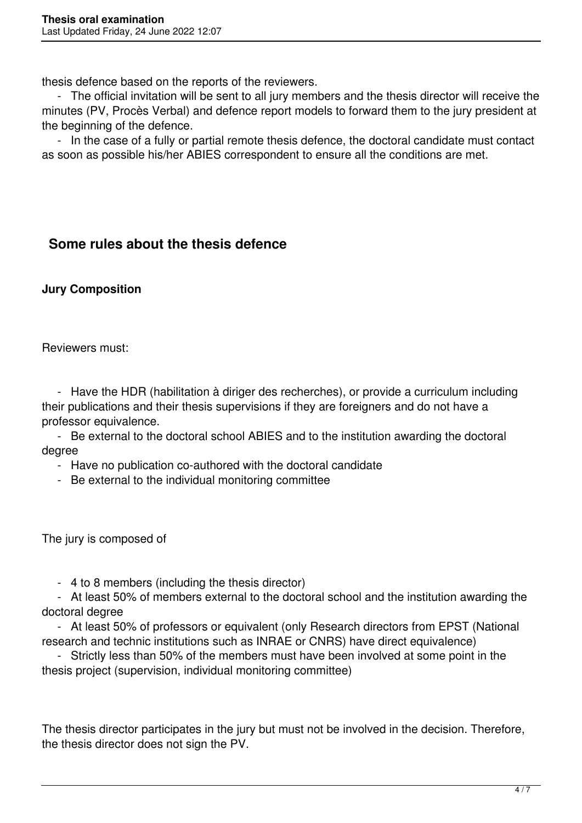thesis defence based on the reports of the reviewers.

 - The official invitation will be sent to all jury members and the thesis director will receive the minutes (PV, Procès Verbal) and defence report models to forward them to the jury president at the beginning of the defence.

 - In the case of a fully or partial remote thesis defence, the doctoral candidate must contact as soon as possible his/her ABIES correspondent to ensure all the conditions are met.

# **Some rules about the thesis defence**

### **Jury Composition**

Reviewers must:

 - Have the HDR (habilitation à diriger des recherches), or provide a curriculum including their publications and their thesis supervisions if they are foreigners and do not have a professor equivalence.

 - Be external to the doctoral school ABIES and to the institution awarding the doctoral degree

- Have no publication co-authored with the doctoral candidate

- Be external to the individual monitoring committee

The jury is composed of

- 4 to 8 members (including the thesis director)

 - At least 50% of members external to the doctoral school and the institution awarding the doctoral degree

 - At least 50% of professors or equivalent (only Research directors from EPST (National research and technic institutions such as INRAE or CNRS) have direct equivalence)

 - Strictly less than 50% of the members must have been involved at some point in the thesis project (supervision, individual monitoring committee)

The thesis director participates in the jury but must not be involved in the decision. Therefore, the thesis director does not sign the PV.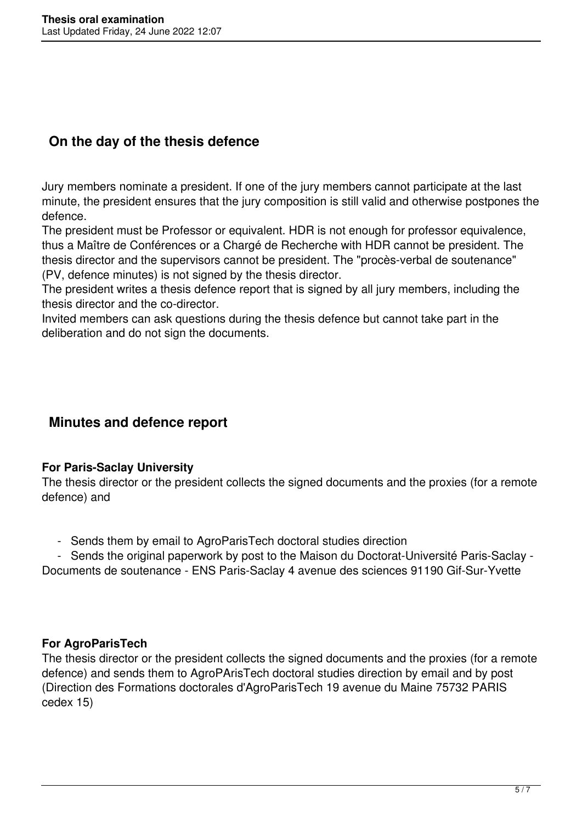# **On the day of the thesis defence**

Jury members nominate a president. If one of the jury members cannot participate at the last minute, the president ensures that the jury composition is still valid and otherwise postpones the defence.

The president must be Professor or equivalent. HDR is not enough for professor equivalence, thus a Maître de Conférences or a Chargé de Recherche with HDR cannot be president. The thesis director and the supervisors cannot be president. The "procès-verbal de soutenance" (PV, defence minutes) is not signed by the thesis director.

The president writes a thesis defence report that is signed by all jury members, including the thesis director and the co-director.

Invited members can ask questions during the thesis defence but cannot take part in the deliberation and do not sign the documents.

### **Minutes and defence report**

### **For Paris-Saclay University**

The thesis director or the president collects the signed documents and the proxies (for a remote defence) and

- Sends them by email to AgroParisTech doctoral studies direction

 - Sends the original paperwork by post to the Maison du Doctorat-Université Paris-Saclay - Documents de soutenance - ENS Paris-Saclay 4 avenue des sciences 91190 Gif-Sur-Yvette

### **For AgroParisTech**

The thesis director or the president collects the signed documents and the proxies (for a remote defence) and sends them to AgroPArisTech doctoral studies direction by email and by post (Direction des Formations doctorales d'AgroParisTech 19 avenue du Maine 75732 PARIS cedex 15)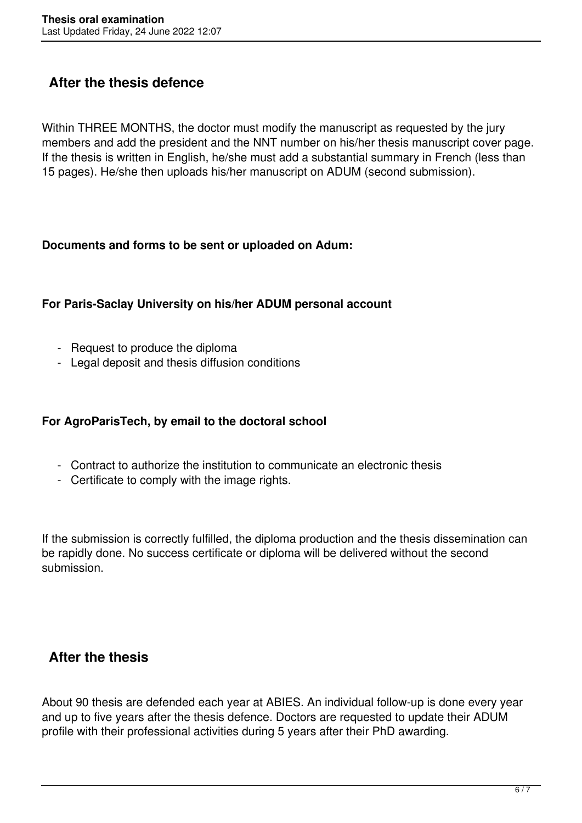# **After the thesis defence**

Within THREE MONTHS, the doctor must modify the manuscript as requested by the jury members and add the president and the NNT number on his/her thesis manuscript cover page. If the thesis is written in English, he/she must add a substantial summary in French (less than 15 pages). He/she then uploads his/her manuscript on ADUM (second submission).

#### **Documents and forms to be sent or uploaded on Adum:**

### **For Paris-Saclay University on his/her ADUM personal account**

- Request to produce the diploma
- Legal deposit and thesis diffusion conditions

### **For AgroParisTech, by email to the doctoral school**

- Contract to authorize the institution to communicate an electronic thesis
- Certificate to comply with the image rights.

If the submission is correctly fulfilled, the diploma production and the thesis dissemination can be rapidly done. No success certificate or diploma will be delivered without the second submission.

### **After the thesis**

About 90 thesis are defended each year at ABIES. An individual follow-up is done every year and up to five years after the thesis defence. Doctors are requested to update their ADUM profile with their professional activities during 5 years after their PhD awarding.